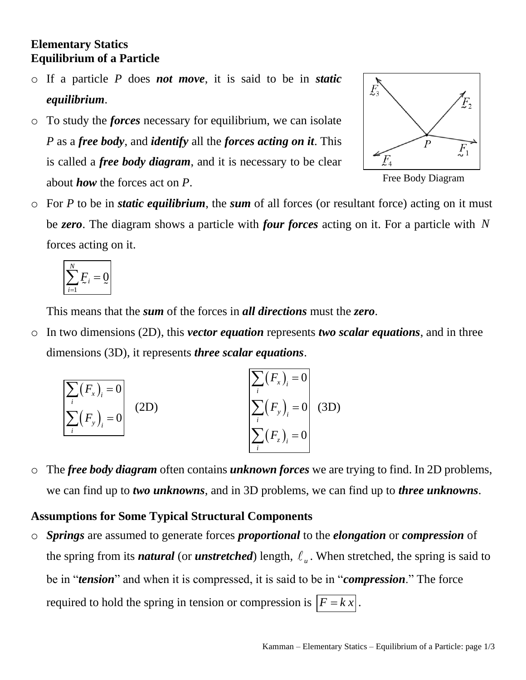## **Elementary Statics Equilibrium of a Particle**

- o If a particle *P* does *not move*, it is said to be in *static equilibrium*.
- o To study the *forces* necessary for equilibrium, we can isolate *P* as a *free body*, and *identify* all the *forces acting on it*. This is called a *free body diagram*, and it is necessary to be clear about *how* the forces act on *P*.



Free Body Diagram

o For *P* to be in *static equilibrium*, the *sum* of all forces (or resultant force) acting on it must be *zero*. The diagram shows a particle with *four forces* acting on it. For a particle with *N* forces acting on it.

$$
\sum_{i=1}^N E_i = 0
$$

This means that the *sum* of the forces in *all directions* must the *zero*.

o In two dimensions (2D), this *vector equation* represents *two scalar equations*, and in three dimensions (3D), it represents *three scalar equations*.

$$
\sum_{i} (F_{x})_{i} = 0
$$
\n
$$
\sum_{i} (F_{y})_{i} = 0
$$
\n(2D)\n
$$
\sum_{i} (F_{y})_{i} = 0
$$
\n
$$
\sum_{i} (F_{y})_{i} = 0
$$
\n
$$
\sum_{i} (F_{z})_{i} = 0
$$
\n(3D)

o The *free body diagram* often contains *unknown forces* we are trying to find. In 2D problems, we can find up to *two unknowns*, and in 3D problems, we can find up to *three unknowns*.

## **Assumptions for Some Typical Structural Components**

o *Springs* are assumed to generate forces *proportional* to the *elongation* or *compression* of the spring from its *natural* (or *unstretched*) length,  $\ell_u$ . When stretched, the spring is said to be in "*tension*" and when it is compressed, it is said to be in "*compression*." The force required to hold the spring in tension or compression is  $|F = k x|$ .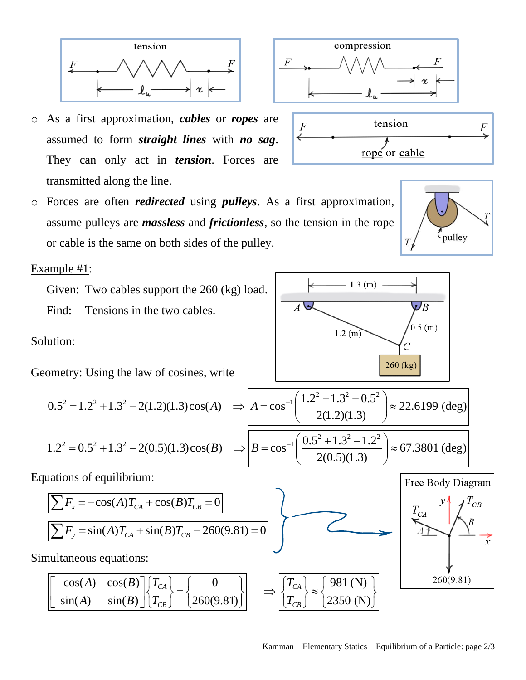



 $1.3(m)$ 

- o As a first approximation, *cables* or *ropes* are assumed to form *straight lines* with *no sag*. They can only act in *tension*. Forces are transmitted along the line.
- o Forces are often *redirected* using *pulleys*. As a first approximation, assume pulleys are *massless* and *frictionless*, so the tension in the rope or cable is the same on both sides of the pulley.

Example #1:

Given: Two cables support the 260 (kg) load.

Find: Tensions in the two cables.

Solution:

Geometry: Using the law of cosines, write

function:

\nometry: Using the law of cosines, write

\n
$$
0.5^{2} = 1.2^{2} + 1.3^{2} - 2(1.2)(1.3)\cos(A) \implies A = \cos^{-1}\left(\frac{1.2^{2} + 1.3^{2} - 0.5^{2}}{2(1.2)(1.3)}\right) \approx 22.6199 \text{ (deg)}
$$
\n
$$
1.2^{2} = 0.5^{2} + 1.3^{2} - 2(0.5)(1.3)\cos(B) \implies B = \cos^{-1}\left(\frac{0.5^{2} + 1.3^{2} - 1.2^{2}}{2(0.5)(1.3)}\right) \approx 67.3801 \text{ (deg)}
$$
\nuations of equilibrium:

\n

Equations of equilibrium:

rations of equilibrium:  
\n
$$
\sum F_x = -\cos(A)T_{CA} + \cos(B)T_{CB} = 0
$$
\n
$$
\sum F_y = \sin(A)T_{CA} + \sin(B)T_{CB} - 260(9.81) = 0
$$

Simultaneous equations:  
\n
$$
\frac{\begin{bmatrix} -\cos(A) & \cos(B) \end{bmatrix} \begin{bmatrix} T_{CA} \\ T_{CB} \end{bmatrix} = \begin{bmatrix} 0 \\ 260(9.81) \end{bmatrix}}{\sin(A) \sin(B) \begin{bmatrix} T_{CB} \\ T_{CB} \end{bmatrix}} = \frac{\begin{bmatrix} T_{CA} \\ T_{CB} \end{bmatrix} \approx \begin{bmatrix} 981 \text{ (N)} \\ 2350 \text{ (N)} \end{bmatrix}}
$$





 $T_{CB}$ 

260(9.81)

 $\tilde{x}$ 

 $\overline{\mathcal{B}B}$ 

 $T_{CA}$ 

 $0.5 \text{ (m)}$ 

 $\left[T_{CA}\right]_{\sim}$  (981 (N))

 $T_{CA}$ 

 $\overline{A}$ い

 $T_{CB}$